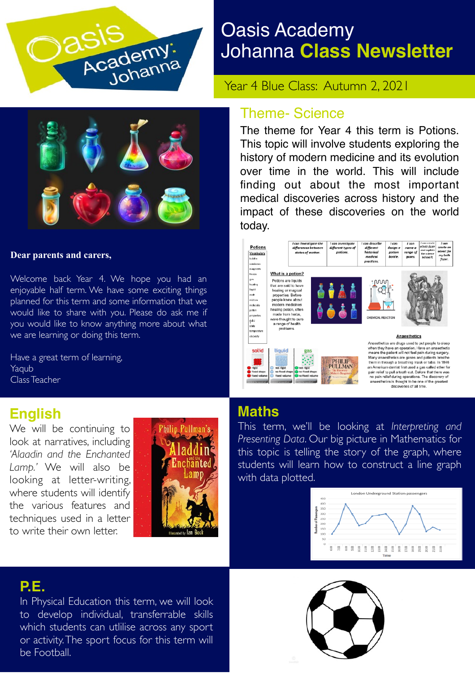

# Oasis Academy Johanna **Class Newsletter**

Year 4 Blue Class: Autumn 2, 2021



#### **Dear parents and carers,**

Welcome back Year 4. We hope you had an enjoyable half term. We have some exciting things planned for this term and some information that we would like to share with you. Please do ask me if you would like to know anything more about what we are learning or doing this term.

Have a great term of learning, Yaqub Class Teacher

### **English**

We will be continuing to look at narratives, including *'Alaadin and the Enchanted Lamp.'* We will also be looking at letter-writing, where students will identify the various features and techniques used in a letter to write their own letter.



### **P.E.**

In Physical Education this term, we will look to develop individual, transferrable skills which students can utlilise across any sport or activity. The sport focus for this term will be Football.

#### Theme- Science

The theme for Year 4 this term is Potions. This topic will involve students exploring the history of modern medicine and its evolution over time in the world. This will include finding out about the most important medical discoveries across history and the impact of these discoveries on the world today.



### **Maths**

This term, we'll be looking at *Interpreting and Presenting Data*. Our big picture in Mathematics for this topic is telling the story of the graph, where students will learn how to construct a line graph with data plotted.